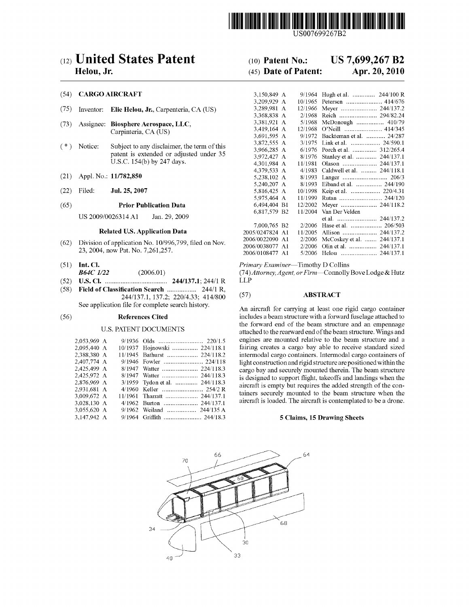

US007699267B2

# (12) United States Patent

# Helou, Jr.

# (54) CARGO AIRCRAFT

- $(75)$ Inventor: Elie Helou, Jr., Carpenteria, CA (US)
- $(73)$ Assignee: Biosphere Aerospace, LLC, Carpinteria, CA (US)
- $(* )$ Notice: Subject to any disclaimer, the term of this patent is extended or adjusted under 35 U.S.C. 154(b) by 247 days.
- $(21)$ Appl. No.: 11/782,850
- Filed:  $(22)$ Jul. 25, 2007

#### $(65)$ **Prior Publication Data**

US 2009/0026314 A1 Jan. 29, 2009

# **Related U.S. Application Data**

- $(62)$ Division of application No. 10/996,799, filed on Nov. 23, 2004, now Pat. No. 7, 261, 257.
- $(51)$  Int. Cl.  $(2006.01)$ **B64C** 1/22
- $(52)$
- $(58)$ 244/137.1, 137.2; 220/4.33; 414/800
	- See application file for complete search history.

#### $(56)$ **References Cited**

### **U.S. PATENT DOCUMENTS**

| 2,053,969 A |  |                                |
|-------------|--|--------------------------------|
| 2.095.440 A |  | 10/1937 Hojnowski  224/118.1   |
| 2,388,380 A |  | 11/1945 Bathurst  224/118.2    |
| 2,407,774 A |  | 9/1946 Fowler  224/118         |
| 2.425.499 A |  | 8/1947 Watter  224/118.3       |
| 2.425.972 A |  | 8/1947 Watter  244/118.3       |
| 2,876,969 A |  | 3/1959 Tydon et al.  244/118.3 |
| 2.931.681 A |  |                                |
| 3.009.672 A |  | 11/1961 Tharratt  244/137.1    |
| 3.028.130 A |  | 4/1962 Burton  244/137.1       |
| 3.055.620 A |  | 9/1962 Weiland  244/135 A      |
| 3.147.942 A |  | 9/1964 Griffith  244/18.3      |
|             |  |                                |

#### US 7,699,267 B2  $(10)$  Patent No.:

#### (45) Date of Patent: Apr. 20, 2010

| 3,150,849 A     |               | 9/1964  | Hugh et al.  244/100 R     |
|-----------------|---------------|---------|----------------------------|
| 3,209,929       | A             | 10/1965 |                            |
| 3,289,981       | А             | 12/1966 |                            |
| 3.368.838       | $\mathbf{A}$  | 2/1968  |                            |
| 3,381,921       | A             | 5/1968  | McDonough  410/79          |
| 3,419,164       | A             | 12/1968 | O'Neill  414/345           |
| 3,691,595 A     |               | 9/1972  | Backteman et al.  24/287   |
| 3,872,555       | $\mathbf{A}$  | 3/1975  | Link et al.  24/590.1      |
| 3,966,285       | $\mathbf{A}$  | 6/1976  | Porch et al.  312/265.4    |
| 3,972,427 A     |               | 8/1976  | Stanley et al.  244/137.1  |
| 4.301.984 A     |               | 11/1981 | Olason  244/137.1          |
| 4,379,533 A     |               | 4/1983  | Caldwell et al.  244/118.1 |
| 5,238,102 A     |               | 8/1993  |                            |
| 5,240,207 A     |               | 8/1993  | Eiband et al.  244/190     |
| 5,816,425 A     |               | 10/1998 | Keip et al.  220/4.31      |
| 5,975,464 A     |               | 11/1999 | Rutan  244/120             |
| 6,494,404 B1    |               | 12/2002 |                            |
| 6,817,579 B2    |               | 11/2004 | Van Der Velden             |
|                 |               |         | et al.  244/137.2          |
| 7,000,765 B2    |               | 2/2006  |                            |
| 2005/0247824    | $\mathbf{A}1$ | 11/2005 | Allison  244/137.2         |
| 2006/0022090    | A1            | 2/2006  | McCoskey et al.  244/137.1 |
| 2006/0038077    | A1            | 2/2006  | Olin et al.  244/137.1     |
| 2006/0108477 A1 |               | 5/2006  | Helou  244/137.1           |
|                 |               |         |                            |

Primary Examiner-Timothy D Collins

(74) Attorney, Agent, or Firm-Connolly Bove Lodge & Hutz **LLP** 

#### $(57)$ **ABSTRACT**

An aircraft for carrying at least one rigid cargo container includes a beam structure with a forward fuselage attached to the forward end of the beam structure and an empennage attached to the rearward end of the beam structure. Wings and engines are mounted relative to the beam structure and a fairing creates a cargo bay able to receive standard sized intermodal cargo containers. Intermodal cargo containers of light construction and rigid structure are positioned within the cargo bay and securely mounted therein. The beam structure is designed to support flight, takeoffs and landings when the aircraft is empty but requires the added strength of the containers securely mounted to the beam structure when the aircraft is loaded. The aircraft is contemplated to be a drone.

# 5 Claims, 15 Drawing Sheets

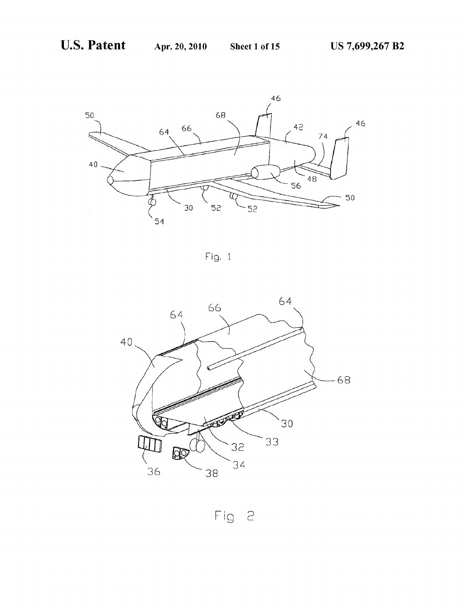

Fig. 1



Fig 2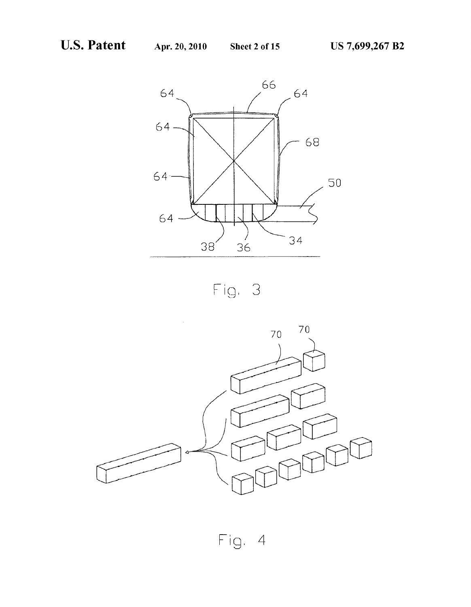



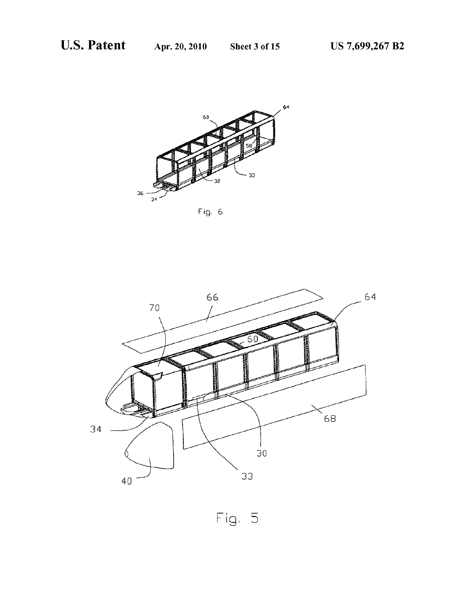

Fig. 6

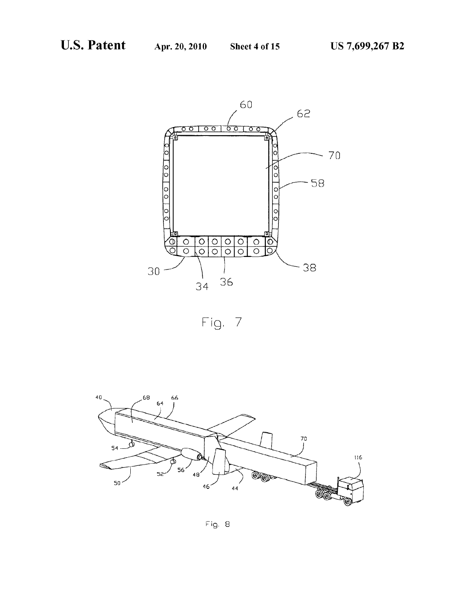





Fig. 8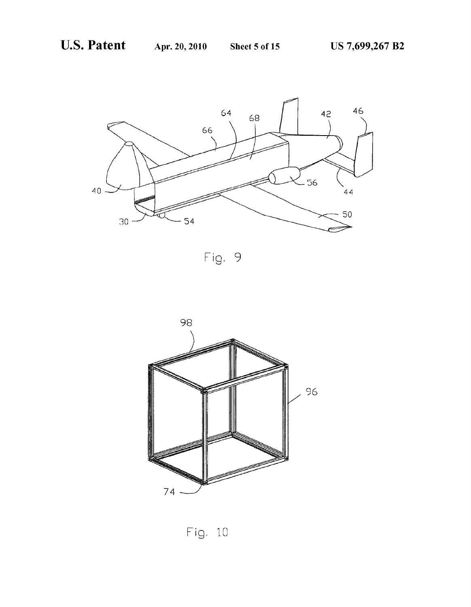

Fig. 9



Fig. 10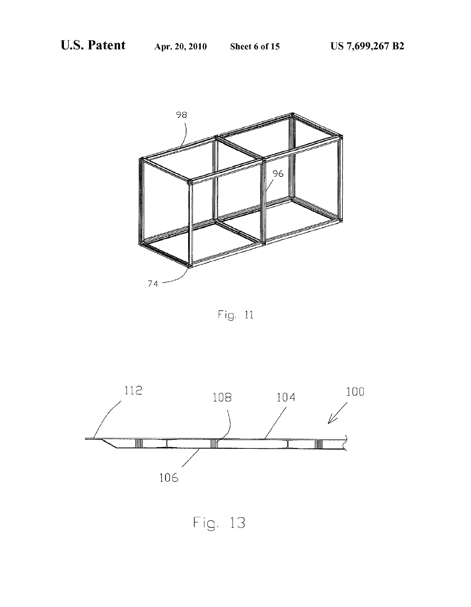



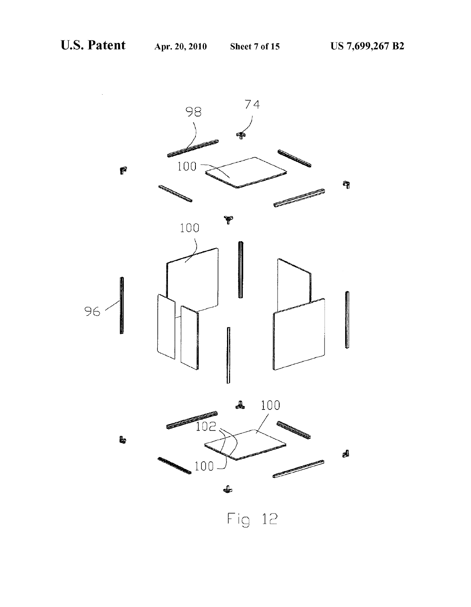

Fig 12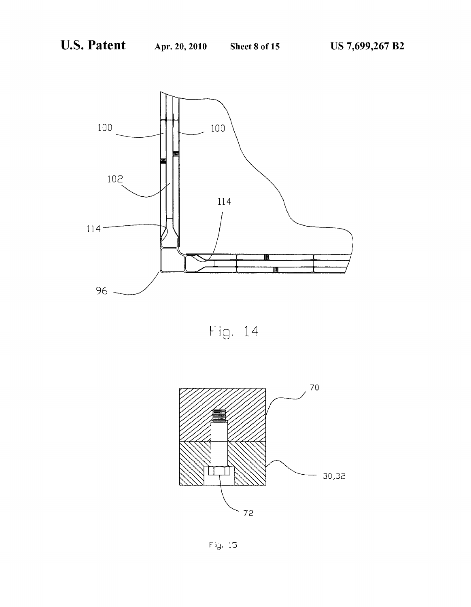



Fig. 15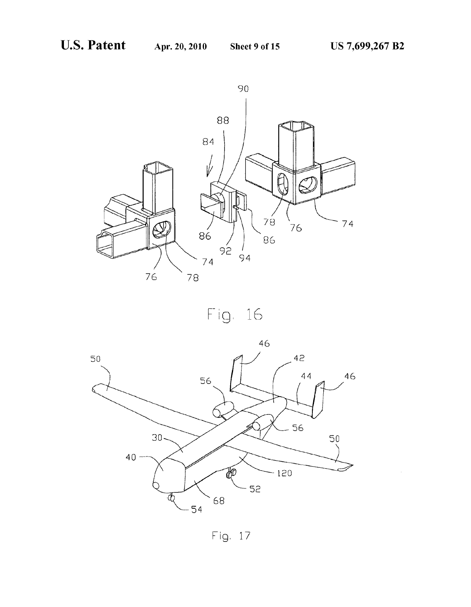



Fig. 17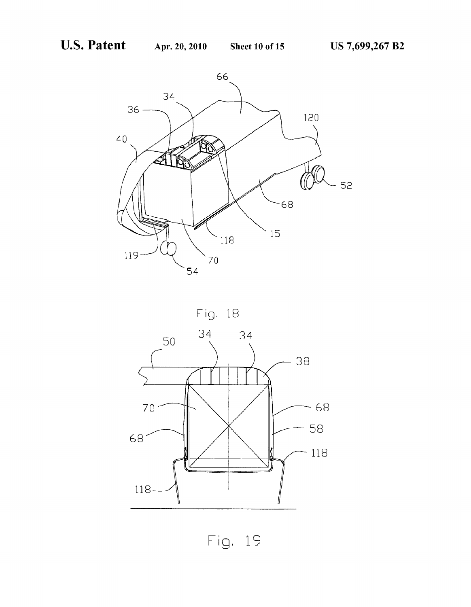



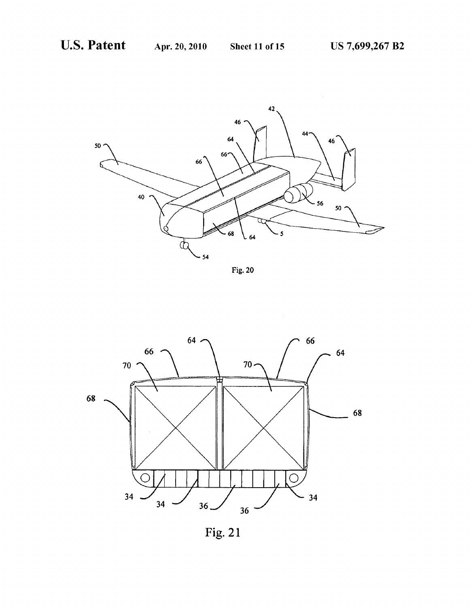





Fig. 21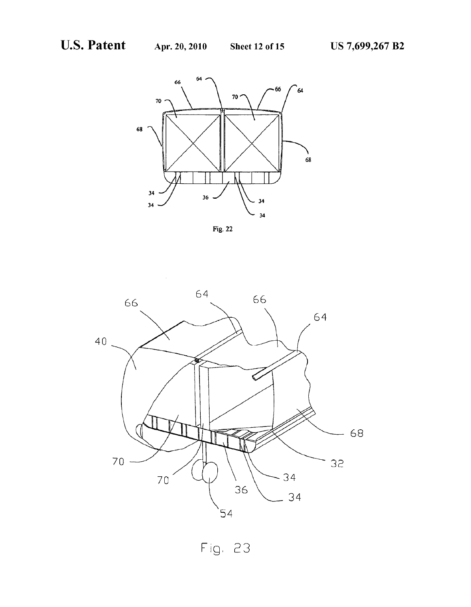

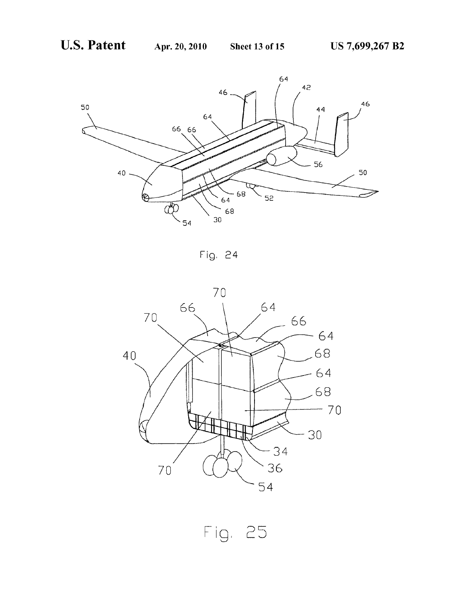

Fig. 24

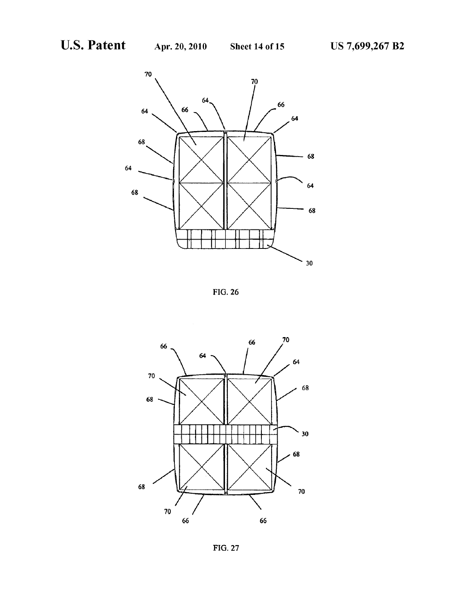

FIG. 26



FIG. 27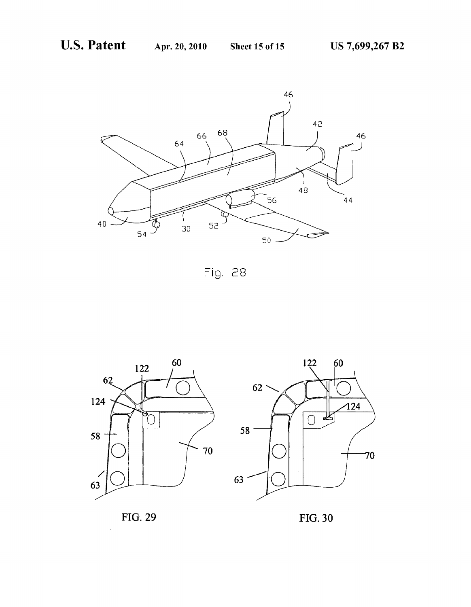

Fig. 28





FIG. 29 FIG. 30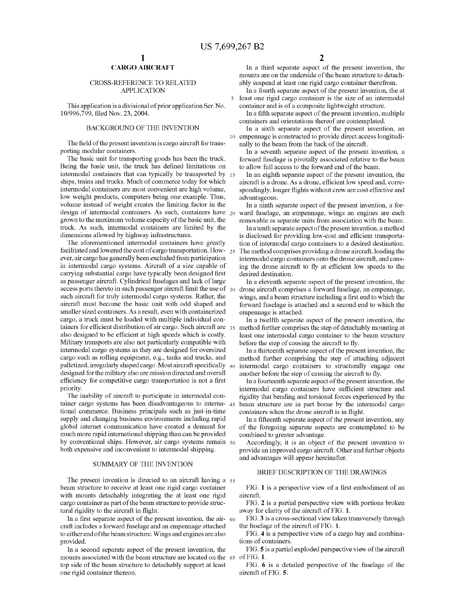$\overline{\mathbf{S}}$ 

10

# CARGO AIRCRAFT

### CROSS-REFERENCE TO RELATED APPLICATION

This application is a divisional of prior application Ser. No. 10/996,799, filed Nov. 23, 2004.

# BACKGROUND OF THE INVENTION

The field of the present invention is cargo aircraft for transporting modular containers.

The basic unit for transporting goods has been the truck. Being the basic unit, the truck has defined limitations on intermodal containers that can typically be transported by 15 ships, trains and trucks. Much of commerce today for Which intermodal containers are most convenient are high volume, loW Weight products, computers being one example. Thus, volume instead of Weight creates the limiting factor in the design of intermodal containers. As such, containers have 20 groWn to the maximum volume capacity of the basic unit, the truck. As such, intermodal containers are limited by the dimensions allowed by highway infrastructures.

The aforementioned intermodal containers have greatly facilitated and lowered the cost of cargo transportation. How-  $_{25}$ ever, air cargo has generally been excluded from participation in intermodal cargo systems. Aircraft of a size capable of carrying substantial cargo have typically been designed first as passenger aircraft. Cylindrical fuselages and lack of large access ports thereto in such passenger aircraft limit the use of  $\,$   $_{30}$ such aircraft for truly intermodal cargo systems. Rather, the aircraft must become the basic unit With odd shaped and smaller sized containers. As a result, even with containerized cargo, a truck must be loaded With multiple individual con tainers for efficient distribution of air cargo. Such aircraft are  $35$ also designed to be efficient at high speeds which is costly. Military transports are also not particularly compatible With intermodal cargo systems as they are designed for oversized cargo such as rolling equipment, e.g., tanks and trucks, and palletized, irregularly shaped cargo. Most aircraft specifically  $\,$   $_{40}$ designed for the military also are mission directed and overall efficiency for competitive cargo transportation is not a first priority.

The inability of aircraft to participate in intermodal con tainer cargo systems has been disadvantageous to interna- 45 tional commerce. Business principals such as just-in-time supply and changing business environments including rapid global internet communication have created a demand for much more rapid international shipping than can be provided by conventional ships. However, air cargo systems remain  $50$ both expensive and inconvenient to intermodal shipping.

# SUMMARY OF THE INVENTION

The present invention is directed to an aircraft having a  $55$ beam structure to receive at least one rigid cargo container with mounts detachably integrating the at least one rigid cargo container as part of the beam structure to provide struc tural rigidity to the aircraft in flight.

In a first separate aspect of the present invention, the  $ar-60$ craft includes a forWard fuselage and an empennage attached to either end of the beam structure. Wings and engines are also provided.

In a second separate aspect of the present invention, the mounts associated With the beam structure are located on the 65 top side of the beam structure to detachably support at least one rigid container thereon.

In a third separate aspect of the present invention, the mounts are on the underside of the beam structure to detach ably suspend at least one rigid cargo container therefrom.

In a fourth separate aspect of the present invention, the at least one rigid cargo container is the size of an intermodal container and is of a composite lightweight structure.

In a fifth separate aspect of the present invention, multiple containers and orientations thereof are contemplated.

In a sixth separate aspect of the present invention, an empennage is constructed to provide direct access longitudi nally to the beam from the back of the aircraft.

In a seventh separate aspect of the present invention, a forward fuselage is pivotally associated relative to the beam to allow full access to the forward end of the beam.

In an eighth separate aspect of the present invention, the aircraft is a drone. As a drone, efficient low speed and, correspondingly, longer flights without crew are cost effective and advantageous.

In a ninth separate aspect of the present invention, a for Ward fuselage, an empennage, Wings an engines are each removable as separate units from association With the beam.

In a tenth separate aspect of the present invention, a method is disclosed for providing low-cost and efficient transportation of intermodal cargo containers to a desired destination. The method comprises providing a drone aircraft, loading the intermodal cargo containers onto the drone aircraft, and caus ing the drone aircraft to fly at efficient low speeds to the desired destination.

In a eleventh separate aspect of the present invention, the drone aircraft comprises a forward fuselage, an empennage, wings, and a beam structure including a first end to which the forward fuselage is attached and a second end to Which the empennage is attached.

In a tWelfth separate aspect of the present invention, the method further comprises the step of detachably mounting at least one intermodal cargo container to the beam structure before the step of causing the aircraft to fly.

In a thirteenth separate aspect of the present invention, the method further comprising the step of attaching adjacent intermodal cargo containers to structurally engage one another before the step of causing the aircraft to fly.

In a fourteenth separate aspect of the present invention, the intermodal cargo containers have sufficient structure and rigidity that bending and torsional forces experienced by the beam structure are in part borne by the intermodal cargo containers when the drone aircraft is in flight.

In a fifteenth separate aspect of the present invention, any of the foregoing separate aspects are contemplated to be combined to greater advantage.

Accordingly, it is an object of the present invention to provide an improved cargo aircraft. Other and further objects and advantages Will appear hereinafter.

# BRIEF DESCRIPTION OF THE DRAWINGS

FIG. 1 is a perspective view of a first embodiment of an aircraft.

FIG. 2 is a partial perspective view with portions broken away for clarity of the aircraft of FIG. 1.

FIG. 3 is a cross-sectional view taken transversely through the fuselage of the aircraft of FIG. 1.

FIG. 4 is a perspective vieW of a cargo bay and combina tions of containers.

FIG. 5 is a partial exploded perspective view of the aircraft of FIG. 1.

FIG. 6 is a detailed perspective of the fuselage of the aircraft of FIG. 5.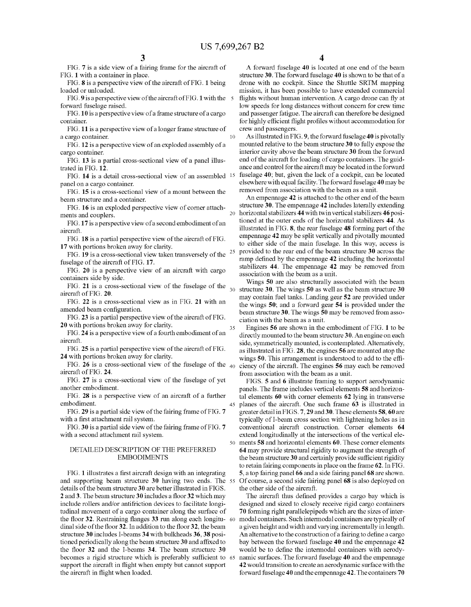20

10

35

45

FIG. 7 is a side vieW of a fairing frame for the aircraft of FIG. 1 With a container in place.

FIG. 8 is a perspective vieW of the aircraft of FIG. 1 being loaded or unloaded.

FIG. 9 is a perspective view of the aircraft of FIG. 1 with the 5 forward fuselage raised.

FIG. 10 is a perspective vieW of a frame structure of a cargo container.

FIG. 11 is a perspective vieW of a longer frame structure of a cargo container.

FIG. 12 is a perspective vieW of an exploded assembly of a cargo container.

FIG. 13 is a partial cross-sectional view of a panel illustrated in FIG. 12.

FIG. 14 is a detail cross-sectional view of an assembled <sup>15</sup> panel on a cargo container.

FIG. 15 is a cross-sectional view of a mount between the beam structure and a container.

FIG. 16 is an exploded perspective vieW of comer attach ments and couplers.

FIG. 17 is a perspective vieW of a second embodiment of an aircraft.

FIG. 18 is a partial perspective vieW of the aircraft of FIG. 17 with portions broken away for clarity.

FIG. 19 is a cross-sectional view taken transversely of the  $25$ fuselage of the aircraft of FIG. 17.

FIG. 20 is a perspective vieW of an aircraft With cargo containers side by side.

FIG. 21 is a cross-sectional view of the fuselage of the  $_{30}$ aircraft of FIG. 20.

FIG. 22 is a cross-sectional vieW as in FIG. 21 With an amended beam configuration.

FIG. 23 is a partial perspective vieW of the aircraft of FIG. 20 With portions broken aWay for clarity.

FIG. 24 is a perspective vieW of a fourth embodiment of an aircraft.

FIG. 25 is a partial perspective view of the aircraft of FIG. 24 With portions broken aWay for clarity.

FIG. 26 is a cross-sectional view of the fuselage of the  $_{40}$ aircraft of FIG. 24.

FIG. 27 is a cross-sectional vieW of the fuselage of yet another embodiment.

FIG. 28 is a perspective vieW of an aircraft of a further embodiment.

FIG. 29 is a partial side vieW of the fairing frame of FIG. 7 with a first attachment rail system.

FIG. 30 is a partial side view of the fairing frame of FIG. 7 with a second attachment rail system.

# DETAILED DESCRIPTION OF THE PREFERRED EMBODIMENTS

FIG. 1 illustrates a first aircraft design with an integrating and supporting beam structure 30 having two ends. The 55 details of the beam structure 30 are better illustrated in FIGS.  $2$  and  $3$ . The beam structure  $30$  includes a floor  $32$  which may include rollers and/or antifriction devices to facilitate longi tudinal movement of a cargo container along the surface of the floor 32. Restraining flanges 33 run along each longitu-  $60$ dinal side of the floor 32. In addition to the floor 32, the beam structure 30 includes I-beams 34 With bulkheads 36, 38 posi tioned periodically along the beam structure 30 and affixed to the floor  $32$  and the I-beams  $34$ . The beam structure  $30$ becomes a rigid structure which is preferably sufficient to 65 support the aircraft in flight when empty but cannot support the aircraft in flight when loaded.

4

A forWard fuselage 40 is located at one end of the beam structure 30. The forward fuselage 40 is shown to be that of a drone With no cockpit. Since the Shuttle SRTM mapping mission, it has been possible to have extended commercial flights without human intervention. A cargo drone can fly at low speeds for long distances without concern for crew time and passenger fatigue. The aircraft can therefore be designed for highly efficient flight profiles without accommodation for creW and passengers.

As illustrated in FIG. 9, the forward fuselage 40 is pivotally mounted relative to the beam structure 30 to fully expose the interior cavity above the beam structure 30 from the forward end of the aircraft for loading of cargo containers. The guid ance and control for the aircraft may be located in the forward fuselage 40; but, given the lack of a cockpit, can be located elsewhere with equal facility. The forward fuselage 40 may be removed from association With the beam as a unit.

An empennage 42 is attached to the other end of the beam structure 30. The empennage 42 includes laterally extending horizontal stabilizers 44 with twin vertical stabilizers 46 positioned at the outer ends of the horizontal stabilizers 44. As illustrated in FIG. 8, the rear fuselage 48 forming part of the empennage 42 may be split vertically and pivotally mounted to either side of the main fuselage. In this Way, access is provided to the rear end of the beam structure 30 across the ramp defined by the empennage 42 including the horizontal stabilizers 44. The empennage 42 may be removed from association With the beam as a unit.

Wings 50 are also structurally associated With the beam structure 30. The wings 50 as well as the beam structure 30 may contain fuel tanks. Landing gear 52 are provided under the Wings 50; and a forward gear 54 is provided under the beam structure 30. The Wings 50 may be removed from asso ciation With the beam as a unit.

Engines 56 are shoWn in the embodiment of FIG. 1 to be directly mounted to the beam structure 30. An engine on each side, symmetrically mounted, is contemplated. Alternatively, as illustrated in FIG. 28, the engines 56 are mounted atop the wings 50. This arrangement is understood to add to the efficiency of the aircraft. The engines 56 may each be removed from association With the beam as a unit.

50 ments 58 and horiZontal elements 60. These corner elements FIGS. 5 and 6 illustrate framing to support aerodynamic panels. The frame includes vertical elements 58 and horizontal elements 60 With corner elements 62 lying in transverse planes of the aircraft. One such frame 63 is illustrated in greater detail in FIGS. 7, 29 and 30. These elements 58, 60 are typically of I-beam cross section With lightening holes as in conventional aircraft construction. Corner elements 64 extend longitudinally at the intersections of the vertical ele 64 may provide structural rigidity to augment the strength of the beam structure 30 and certainly provide sufficient rigidity to retain fairing components in place on the frame 62. In FIG. 5, a top fairing panel 66 and a side fairing panel 68 are shoWn. Of course, a second side fairing panel 68 is also deployed on the other side of the aircraft.

The aircraft thus defined provides a cargo bay which is designed and sized to closely receive rigid cargo containers 70 forming right parallelepipeds which are the sizes of intermodal containers. Such intermodal containers are typically of a given height and Width and varying incrementally in length. An alternative to the construction of a fairing to define a cargo bay between the forward fuselage 40 and the empennage 42 would be to define the intermodal containers with aerodynamic surfaces. The forward fuselage 40 and the empennage 42 Would transition to create an aerodynamic surface With the forward fuselage 40 and the empennage 42. The containers 70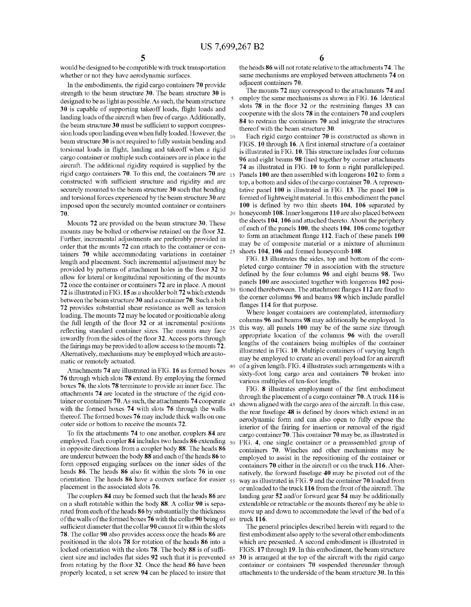5

10

20

25

30

35

40

65

Would be designed to be compatible With truck transportation Whether or not they have aerodynamic surfaces.

In the embodiments, the rigid cargo containers 70 provide strength to the beam structure 30. The beam structure 30 is designed to be as light as possible. As such, the beam structure 30 is capable of supporting takeoff loads, flight loads and landing loads of the aircraft When free of cargo. Additionally, the beam structure 30 must be sufficient to support compression loads upon landing even When fully loaded. However, the beam structure 30 is not required to fully sustain bending and torsional loads in flight, landing and takeoff when a rigid cargo container or multiple such containers are in place in the aircraft. The additional rigidity required is supplied by the rigid cargo containers 70. To this end, the containers 70 are  $_{15}$ constructed with sufficient structure and rigidity and are securely mounted to the beam structure 30 such that bending and torsional forces experienced by the beam structure 30 are imposed upon the securely mounted container or containers 70.

Mounts 72 are provided on the beam structure 30. These mounts may be bolted or otherwise retained on the floor 32. Further, incremental adjustments are preferably provided in order that the mounts 72 can attach to the container or con tainers 70 While accommodating variations in container length and placement. Such incremental adjustment may be provided by patterns of attachment holes in the floor 32 to alloW for lateral or longitudinal repositioning of the mounts 72 once the container or containers 72 are in place. A mount 72 is illustrated in FIG. 15 as a shoulder bolt 72 which extends betWeen the beam structure 30 and a container 70. Such a bolt 72 provides substantial shear resistance as Well as tension loading. The mounts 72 may be located or positionable along the full length of the floor  $32$  or at incremental positions reflecting standard container sizes. The mounts may face inwardly from the sides of the floor 32. Access ports through the fairings may be provided to alloW access to the mounts 72. Alternatively, mechanisms may be employed Which are auto matic or remotely actuated.

Attachments 74 are illustrated in FIG. 16 as formed boxes 76 through Which slots 78 extend. By employing the formed boxes 76, the slots 78 terminate to provide an inner face. The attachments 74 are located in the structure of the rigid con tainer or containers 70. As such, the attachments 74 cooperate  $_{45}$ with the formed boxes 74 with slots 76 through the walls thereof. The formed boxes 76 may include thick Walls on one outer side or bottom to receive the mounts 72.

To fix the attachments 74 to one another, couplers 84 are employed. Each coupler 84 includes two heads 86 extending  $\,$   $_{50}$ in opposite directions from a coupler body 88. The heads 86 are undercut betWeen the body 88 and each of the heads 86 to form opposed engaging surfaces on the inner sides of the heads 86. The heads 86 also fit within the slots 76 in one orientation. The heads  $86$  have a convex surface for easier  $55$ placement in the associated slots 76.

The couplers 84 may be formed such that the heads 86 are on a shaft rotatable Within the body 88. A collar 90 is sepa rated from each of the heads 86 by substantially the thickness of the walls of the formed boxes 76 with the collar 90 being of  $\,$  60  $\,$ sufficient diameter that the collar 90 cannot fit within the slots 78. The collar 90 also provides access once the heads 86 are positioned in the slots 78 for rotation of the heads 86 into a locked orientation with the slots  $78$ . The body  $88$  is of sufficient size and includes flat sides 92 such that it is prevented from rotating by the floor 32. Once the head 86 have been properly located, a set screW 94 can be placed to insure that

the heads 86 Will not rotate relative to the attachments 74. The same mechanisms are employed between attachments 74 on adjacent containers 70.

The mounts 72 may correspond to the attachments 74 and employ the same mechanisms as shoWn in FIG. 16. Identical slots  $78$  in the floor  $32$  or the restraining flanges  $33$  can cooperate With the slots 78 in the containers 70 and couplers 84 to restrain the containers 70 and integrate the structures thereof With the beam structure 30.

Each rigid cargo container 70 is constructed as shoWn in FIGS. 10 through 16. A first internal structure of a container is illustrated in FIG. 10. This structure includes four columns 96 and eight beams 98 fixed together by corner attachments 74 as illustrated in FIG. 10 to form a right parallelepiped. Panels 100 are then assembled With longerons 102 to form a top, a bottom and sides of the cargo container 70. A represen tative panel 100 is illustrated in FIG. 13. The panel 100 is formed of lightweight material. In this embodiment the panel 100 is defined by two thin sheets  $104$ ,  $106$  separated by honeycomb 108. Inner longerons 110 are also placed between the sheets 104, 106 and attached thereto. About the periphery of each of the panels 100, the sheets 104, 106 come together to form an attachment flange 112. Each of these panels 100 may be of composite material or a mixture of aluminum sheets 104, 106 and formed honeycomb 108.

FIG. 13 illustrates the sides, top and bottom of the com pleted cargo container 70 in association With the structure defined by the four columns 96 and eight beams 98. Two panels 100 are associated together With longerons 102 posi tioned therebetween. The attachment flanges 112 are fixed to the corner columns 96 and beams 98 Which include parallel flanges 114 for that purpose.

Where longer containers are contemplated, intermediary columns 96 and beams 98 may additionally be employed. In this way, all panels 100 may be of the same size through appropriate location of the columns 96 With the overall lengths of the containers being multiples of the container illustrated in FIG. 10. Multiple containers of varying length may be employed to create an overall payload for an aircraft of a given length. FIG. 4 illustrates such arrangements With a sixty-foot long cargo area and containers 70 broken into various multiples of ten-foot lengths.

FIG. 8 illustrates employment of the first embodiment through the placement of a cargo container 70. A truck 116 is shoWn aligned With the cargo area of the aircraft. In this case, the rear fuselage 48 is defined by doors which extend in an aerodynamic form and can also open to fully expose the interior of the fairing for insertion or removal of the rigid cargo container 70. This container 70 may be, as illustrated in FIG. 4, one single container or a preassembled group of containers 70. Winches and other mechanisms may be employed to assist in the repositioning of the container or containers 70 either in the aircraft or on the truck 116. Alter natively, the forward fuselage 40 may be pivoted out of the Way as illustrated in FIG. 9 and the container 70 loaded from or unloaded to the truck 116 from the front of the aircraft. The landing gear 52 and/or forward gear 54 may be additionally extendable or retractable or the mounts thereof my be able to move up and doWn to accommodate the level of the bed of a truck 116.

The general principles described herein With regard to the first embodiment also apply to the several other embodiments Which are presented. A second embodiment is illustrated in FIGS. 17 through 19. In this embodiment, the beam structure 30 is arranged at the top of the aircraft With the rigid cargo container or containers 70 suspended thereunder through attachments to the underside of the beam structure 30. In this